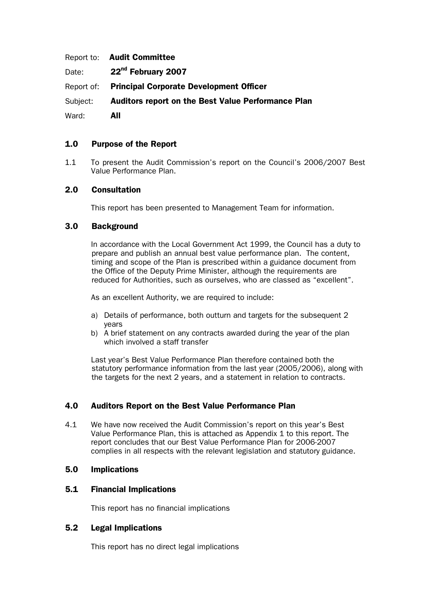|       | Report to: Audit Committee                                  |
|-------|-------------------------------------------------------------|
|       | Date: 22 <sup>nd</sup> February 2007                        |
|       | Report of: Principal Corporate Development Officer          |
|       | Subject: Auditors report on the Best Value Performance Plan |
| Ward: | All                                                         |

# 1.0 Purpose of the Report

1.1 To present the Audit Commission's report on the Council's 2006/2007 Best Value Performance Plan.

## 2.0 Consultation

This report has been presented to Management Team for information.

## 3.0 Background

In accordance with the Local Government Act 1999, the Council has a duty to prepare and publish an annual best value performance plan. The content, timing and scope of the Plan is prescribed within a guidance document from the Office of the Deputy Prime Minister, although the requirements are reduced for Authorities, such as ourselves, who are classed as "excellent".

As an excellent Authority, we are required to include:

- a) Details of performance, both outturn and targets for the subsequent 2 years
- b) A brief statement on any contracts awarded during the year of the plan which involved a staff transfer

Last year's Best Value Performance Plan therefore contained both the statutory performance information from the last year (2005/2006), along with the targets for the next 2 years, and a statement in relation to contracts.

## 4.0 Auditors Report on the Best Value Performance Plan

4.1 We have now received the Audit Commission's report on this year's Best Value Performance Plan, this is attached as Appendix 1 to this report. The report concludes that our Best Value Performance Plan for 2006-2007 complies in all respects with the relevant legislation and statutory guidance.

#### 5.0 Implications

## 5.1 Financial Implications

This report has no financial implications

## 5.2 Legal Implications

This report has no direct legal implications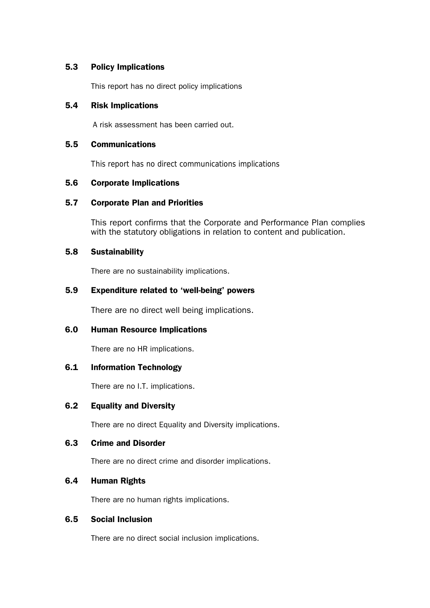## 5.3 Policy Implications

This report has no direct policy implications

#### 5.4 Risk Implications

A risk assessment has been carried out.

## 5.5 Communications

This report has no direct communications implications

#### 5.6 Corporate Implications

## 5.7 Corporate Plan and Priorities

This report confirms that the Corporate and Performance Plan complies with the statutory obligations in relation to content and publication.

#### 5.8 Sustainability

There are no sustainability implications.

# 5.9 Expenditure related to 'well-being' powers

There are no direct well being implications.

## 6.0 Human Resource Implications

There are no HR implications.

## 6.1 Information Technology

There are no I.T. implications.

## 6.2 Equality and Diversity

There are no direct Equality and Diversity implications.

#### 6.3 Crime and Disorder

There are no direct crime and disorder implications.

## 6.4 Human Rights

There are no human rights implications.

# 6.5 Social Inclusion

There are no direct social inclusion implications.